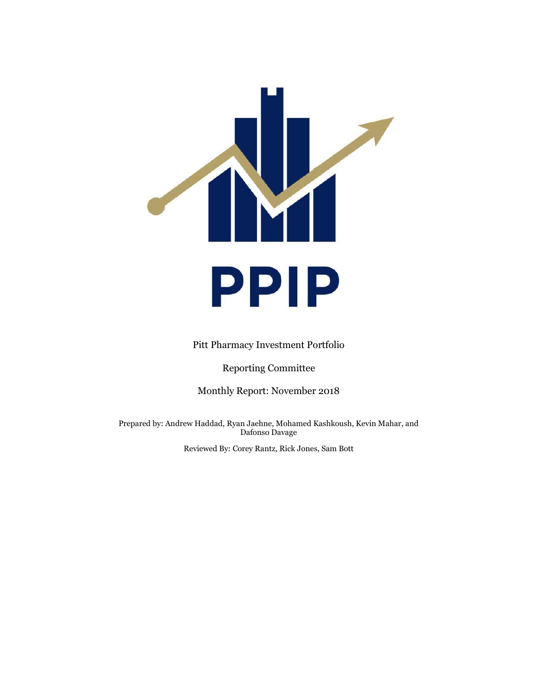

Pitt Pharmacy Investment Portfolio

Reporting Committee

Monthly Report: November 2018

Prepared by: Andrew Haddad, Ryan Jaehne, Mohamed Kashkoush, Kevin Mahar, and Dafonso Davage

Reviewed By: Corey Rantz, Rick Jones, Sam Bott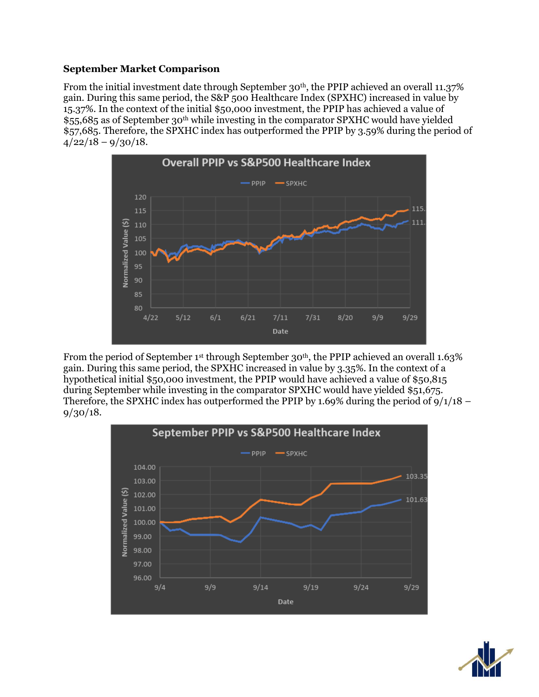## **September Market Comparison**

From the initial investment date through September 30<sup>th</sup>, the PPIP achieved an overall 11.37% gain. During this same period, the S&P 500 Healthcare Index (SPXHC) increased in value by 15.37%. In the context of the initial \$50,000 investment, the PPIP has achieved a value of \$55,685 as of September 30th while investing in the comparator SPXHC would have yielded \$57,685. Therefore, the SPXHC index has outperformed the PPIP by 3.59% during the period of  $4/22/18 - 9/30/18$ .



From the period of September 1<sup>st</sup> through September 30<sup>th</sup>, the PPIP achieved an overall 1.63% gain. During this same period, the SPXHC increased in value by 3.35%. In the context of a hypothetical initial \$50,000 investment, the PPIP would have achieved a value of \$50,815 during September while investing in the comparator SPXHC would have yielded \$51,675. Therefore, the SPXHC index has outperformed the PPIP by 1.69% during the period of  $9/1/18$  – 9/30/18.



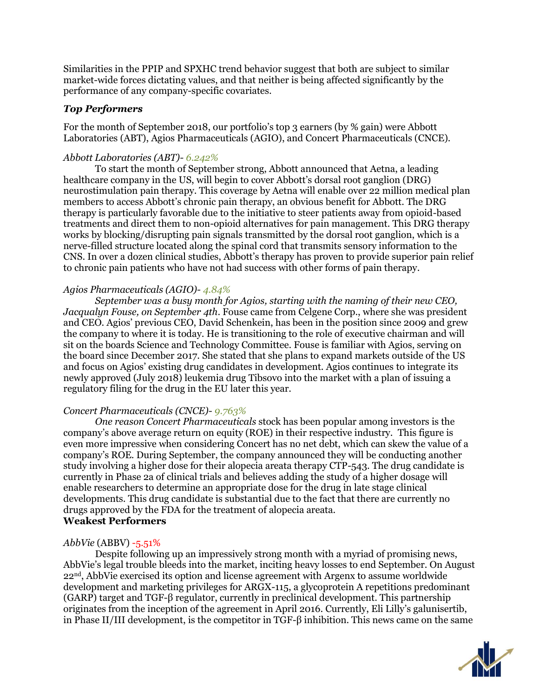Similarities in the PPIP and SPXHC trend behavior suggest that both are subject to similar market-wide forces dictating values, and that neither is being affected significantly by the performance of any company-specific covariates.

## *Top Performers*

For the month of September 2018, our portfolio's top 3 earners (by % gain) were Abbott Laboratories (ABT), Agios Pharmaceuticals (AGIO), and Concert Pharmaceuticals (CNCE).

# *Abbott Laboratories (ABT)- 6.242%*

To start the month of September strong, Abbott announced that Aetna, a leading healthcare company in the US, will begin to cover Abbott's dorsal root ganglion (DRG) neurostimulation pain therapy. This coverage by Aetna will enable over 22 million medical plan members to access Abbott's chronic pain therapy, an obvious benefit for Abbott. The DRG therapy is particularly favorable due to the initiative to steer patients away from opioid-based treatments and direct them to non-opioid alternatives for pain management. This DRG therapy works by blocking/disrupting pain signals transmitted by the dorsal root ganglion, which is a nerve-filled structure located along the spinal cord that transmits sensory information to the CNS. In over a dozen clinical studies, Abbott's therapy has proven to provide superior pain relief to chronic pain patients who have not had success with other forms of pain therapy.

## *Agios Pharmaceuticals (AGIO)- 4.84%*

*September was a busy month for Agios, starting with the naming of their new CEO, Jacqualyn Fouse, on September 4th*. Fouse came from Celgene Corp., where she was president and CEO. Agios' previous CEO, David Schenkein, has been in the position since 2009 and grew the company to where it is today. He is transitioning to the role of executive chairman and will sit on the boards Science and Technology Committee. Fouse is familiar with Agios, serving on the board since December 2017. She stated that she plans to expand markets outside of the US and focus on Agios' existing drug candidates in development. Agios continues to integrate its newly approved (July 2018) leukemia drug Tibsovo into the market with a plan of issuing a regulatory filing for the drug in the EU later this year.

## *Concert Pharmaceuticals (CNCE)- 9.763%*

*One reason Concert Pharmaceuticals* stock has been popular among investors is the company's above average return on equity (ROE) in their respective industry. This figure is even more impressive when considering Concert has no net debt, which can skew the value of a company's ROE. During September, the company announced they will be conducting another study involving a higher dose for their alopecia areata therapy CTP-543. The drug candidate is currently in Phase 2a of clinical trials and believes adding the study of a higher dosage will enable researchers to determine an appropriate dose for the drug in late stage clinical developments. This drug candidate is substantial due to the fact that there are currently no drugs approved by the FDA for the treatment of alopecia areata. **Weakest Performers**

## *AbbVie* (ABBV) -5.51%

Despite following up an impressively strong month with a myriad of promising news, AbbVie's legal trouble bleeds into the market, inciting heavy losses to end September. On August  $22<sup>nd</sup>$ , AbbVie exercised its option and license agreement with Argenx to assume worldwide development and marketing privileges for ARGX-115, a glycoprotein A repetitions predominant (GARP) target and TGF-β regulator, currently in preclinical development. This partnership originates from the inception of the agreement in April 2016. Currently, Eli Lilly's galunisertib, in Phase II/III development, is the competitor in TGF-β inhibition. This news came on the same